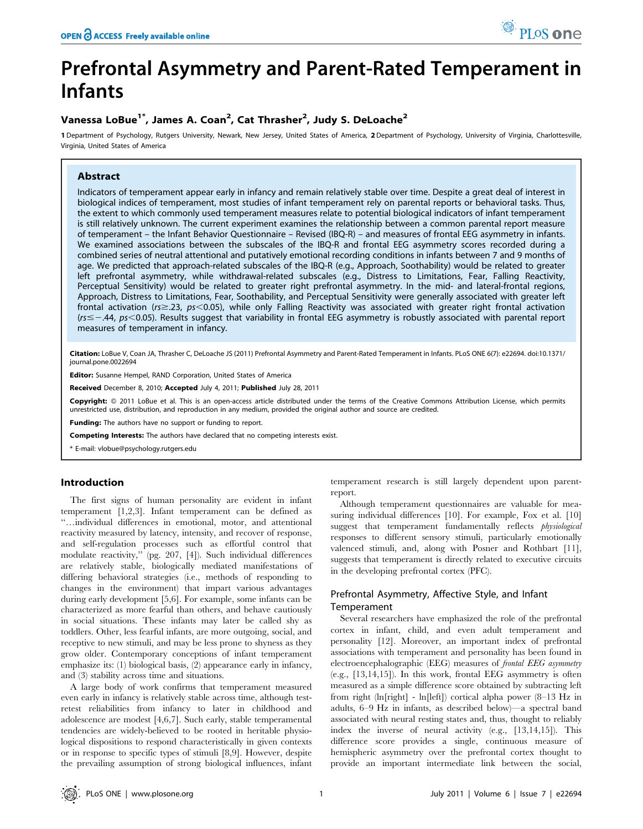# Prefrontal Asymmetry and Parent-Rated Temperament in Infants

## Vanessa LoBue<sup>1\*</sup>, James A. Coan<sup>2</sup>, Cat Thrasher<sup>2</sup>, Judy S. DeLoache<sup>2</sup>

1 Department of Psychology, Rutgers University, Newark, New Jersey, United States of America, 2 Department of Psychology, University of Virginia, Charlottesville, Virginia, United States of America

## Abstract

Indicators of temperament appear early in infancy and remain relatively stable over time. Despite a great deal of interest in biological indices of temperament, most studies of infant temperament rely on parental reports or behavioral tasks. Thus, the extent to which commonly used temperament measures relate to potential biological indicators of infant temperament is still relatively unknown. The current experiment examines the relationship between a common parental report measure of temperament – the Infant Behavior Questionnaire – Revised (IBQ-R) – and measures of frontal EEG asymmetry in infants. We examined associations between the subscales of the IBQ-R and frontal EEG asymmetry scores recorded during a combined series of neutral attentional and putatively emotional recording conditions in infants between 7 and 9 months of age. We predicted that approach-related subscales of the IBQ-R (e.g., Approach, Soothability) would be related to greater left prefrontal asymmetry, while withdrawal-related subscales (e.g., Distress to Limitations, Fear, Falling Reactivity, Perceptual Sensitivity) would be related to greater right prefrontal asymmetry. In the mid- and lateral-frontal regions, Approach, Distress to Limitations, Fear, Soothability, and Perceptual Sensitivity were generally associated with greater left frontal activation ( $rs \ge 23$ ,  $ps \le 0.05$ ), while only Falling Reactivity was associated with greater right frontal activation  $(r_s \leq -0.44, \text{ps} < 0.05)$ . Results suggest that variability in frontal EEG asymmetry is robustly associated with parental report measures of temperament in infancy.

Citation: LoBue V, Coan JA, Thrasher C, DeLoache JS (2011) Prefrontal Asymmetry and Parent-Rated Temperament in Infants. PLoS ONE 6(7): e22694. doi:10.1371/ journal.pone.0022694

Editor: Susanne Hempel, RAND Corporation, United States of America

Received December 8, 2010; Accepted July 4, 2011; Published July 28, 2011

Copyright: © 2011 LoBue et al. This is an open-access article distributed under the terms of the Creative Commons Attribution License, which permits unrestricted use, distribution, and reproduction in any medium, provided the original author and source are credited.

Funding: The authors have no support or funding to report.

Competing Interests: The authors have declared that no competing interests exist.

\* E-mail: vlobue@psychology.rutgers.edu

#### Introduction

The first signs of human personality are evident in infant temperament [1,2,3]. Infant temperament can be defined as ''…individual differences in emotional, motor, and attentional reactivity measured by latency, intensity, and recover of response, and self-regulation processes such as effortful control that modulate reactivity,'' (pg. 207, [4]). Such individual differences are relatively stable, biologically mediated manifestations of differing behavioral strategies (i.e., methods of responding to changes in the environment) that impart various advantages during early development [5,6]. For example, some infants can be characterized as more fearful than others, and behave cautiously in social situations. These infants may later be called shy as toddlers. Other, less fearful infants, are more outgoing, social, and receptive to new stimuli, and may be less prone to shyness as they grow older. Contemporary conceptions of infant temperament emphasize its: (1) biological basis, (2) appearance early in infancy, and (3) stability across time and situations.

A large body of work confirms that temperament measured even early in infancy is relatively stable across time, although testretest reliabilities from infancy to later in childhood and adolescence are modest [4,6,7]. Such early, stable temperamental tendencies are widely-believed to be rooted in heritable physiological dispositions to respond characteristically in given contexts or in response to specific types of stimuli [8,9]. However, despite the prevailing assumption of strong biological influences, infant temperament research is still largely dependent upon parentreport.

Although temperament questionnaires are valuable for measuring individual differences [10]. For example, Fox et al. [10] suggest that temperament fundamentally reflects physiological responses to different sensory stimuli, particularly emotionally valenced stimuli, and, along with Posner and Rothbart [11], suggests that temperament is directly related to executive circuits in the developing prefrontal cortex (PFC).

## Prefrontal Asymmetry, Affective Style, and Infant Temperament

Several researchers have emphasized the role of the prefrontal cortex in infant, child, and even adult temperament and personality [12]. Moreover, an important index of prefrontal associations with temperament and personality has been found in electroencephalographic (EEG) measures of frontal EEG asymmetry (e.g., [13,14,15]). In this work, frontal EEG asymmetry is often measured as a simple difference score obtained by subtracting left from right (ln[right] - ln[left]) cortical alpha power (8–13 Hz in adults, 6–9 Hz in infants, as described below)—a spectral band associated with neural resting states and, thus, thought to reliably index the inverse of neural activity (e.g., [13,14,15]). This difference score provides a single, continuous measure of hemispheric asymmetry over the prefrontal cortex thought to provide an important intermediate link between the social,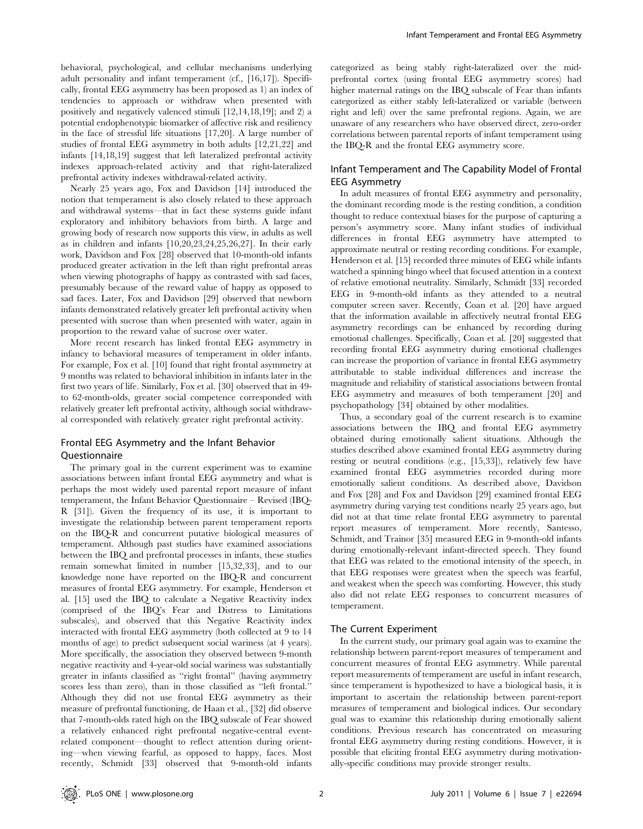behavioral, psychological, and cellular mechanisms underlying adult personality and infant temperament (cf., [16,17]). Specifically, frontal EEG asymmetry has been proposed as 1) an index of tendencies to approach or withdraw when presented with positively and negatively valenced stimuli [12,14,18,19]; and 2) a potential endophenotypic biomarker of affective risk and resiliency in the face of stressful life situations [17,20]. A large number of studies of frontal EEG asymmetry in both adults [12,21,22] and infants [14,18,19] suggest that left lateralized prefrontal activity indexes approach-related activity and that right-lateralized prefrontal activity indexes withdrawal-related activity.

Nearly 25 years ago, Fox and Davidson [14] introduced the notion that temperament is also closely related to these approach and withdrawal systems—that in fact these systems guide infant exploratory and inhibitory behaviors from birth. A large and growing body of research now supports this view, in adults as well as in children and infants [10,20,23,24,25,26,27]. In their early work, Davidson and Fox [28] observed that 10-month-old infants produced greater activation in the left than right prefrontal areas when viewing photographs of happy as contrasted with sad faces, presumably because of the reward value of happy as opposed to sad faces. Later, Fox and Davidson [29] observed that newborn infants demonstrated relatively greater left prefrontal activity when presented with sucrose than when presented with water, again in proportion to the reward value of sucrose over water.

More recent research has linked frontal EEG asymmetry in infancy to behavioral measures of temperament in older infants. For example, Fox et al. [10] found that right frontal asymmetry at 9 months was related to behavioral inhibition in infants later in the first two years of life. Similarly, Fox et al. [30] observed that in 49 to 62-month-olds, greater social competence corresponded with relatively greater left prefrontal activity, although social withdrawal corresponded with relatively greater right prefrontal activity.

## Frontal EEG Asymmetry and the Infant Behavior **Ouestionnaire**

The primary goal in the current experiment was to examine associations between infant frontal EEG asymmetry and what is perhaps the most widely used parental report measure of infant temperament, the Infant Behavior Questionnaire – Revised (IBQ-R [31]). Given the frequency of its use, it is important to investigate the relationship between parent temperament reports on the IBQ-R and concurrent putative biological measures of temperament. Although past studies have examined associations between the IBQ and prefrontal processes in infants, these studies remain somewhat limited in number [15,32,33], and to our knowledge none have reported on the IBQ-R and concurrent measures of frontal EEG asymmetry. For example, Henderson et al. [15] used the IBQ to calculate a Negative Reactivity index (comprised of the IBQ's Fear and Distress to Limitations subscales), and observed that this Negative Reactivity index interacted with frontal EEG asymmetry (both collected at 9 to 14 months of age) to predict subsequent social wariness (at 4 years). More specifically, the association they observed between 9-month negative reactivity and 4-year-old social wariness was substantially greater in infants classified as ''right frontal'' (having asymmetry scores less than zero), than in those classified as ''left frontal.'' Although they did not use frontal EEG asymmetry as their measure of prefrontal functioning, de Haan et al., [32] did observe that 7-month-olds rated high on the IBQ subscale of Fear showed a relatively enhanced right prefrontal negative-central eventrelated component—thought to reflect attention during orienting—when viewing fearful, as opposed to happy, faces. Most recently, Schmidt [33] observed that 9-month-old infants

categorized as being stably right-lateralized over the midprefrontal cortex (using frontal EEG asymmetry scores) had higher maternal ratings on the IBQ subscale of Fear than infants categorized as either stably left-lateralized or variable (between right and left) over the same prefrontal regions. Again, we are unaware of any researchers who have observed direct, zero-order correlations between parental reports of infant temperament using the IBQ-R and the frontal EEG asymmetry score.

## Infant Temperament and The Capability Model of Frontal EEG Asymmetry

In adult measures of frontal EEG asymmetry and personality, the dominant recording mode is the resting condition, a condition thought to reduce contextual biases for the purpose of capturing a person's asymmetry score. Many infant studies of individual differences in frontal EEG asymmetry have attempted to approximate neutral or resting recording conditions. For example, Henderson et al. [15] recorded three minutes of EEG while infants watched a spinning bingo wheel that focused attention in a context of relative emotional neutrality. Similarly, Schmidt [33] recorded EEG in 9-month-old infants as they attended to a neutral computer screen saver. Recently, Coan et al. [20] have argued that the information available in affectively neutral frontal EEG asymmetry recordings can be enhanced by recording during emotional challenges. Specifically, Coan et al. [20] suggested that recording frontal EEG asymmetry during emotional challenges can increase the proportion of variance in frontal EEG asymmetry attributable to stable individual differences and increase the magnitude and reliability of statistical associations between frontal EEG asymmetry and measures of both temperament [20] and psychopathology [34] obtained by other modalities.

Thus, a secondary goal of the current research is to examine associations between the IBQ and frontal EEG asymmetry obtained during emotionally salient situations. Although the studies described above examined frontal EEG asymmetry during resting or neutral conditions (e.g., [15,33]), relatively few have examined frontal EEG asymmetries recorded during more emotionally salient conditions. As described above, Davidson and Fox [28] and Fox and Davidson [29] examined frontal EEG asymmetry during varying test conditions nearly 25 years ago, but did not at that time relate frontal EEG asymmetry to parental report measures of temperament. More recently, Santesso, Schmidt, and Trainor [35] measured EEG in 9-month-old infants during emotionally-relevant infant-directed speech. They found that EEG was related to the emotional intensity of the speech, in that EEG responses were greatest when the speech was fearful, and weakest when the speech was comforting. However, this study also did not relate EEG responses to concurrent measures of temperament.

#### The Current Experiment

In the current study, our primary goal again was to examine the relationship between parent-report measures of temperament and concurrent measures of frontal EEG asymmetry. While parental report measurements of temperament are useful in infant research, since temperament is hypothesized to have a biological basis, it is important to ascertain the relationship between parent-report measures of temperament and biological indices. Our secondary goal was to examine this relationship during emotionally salient conditions. Previous research has concentrated on measuring frontal EEG asymmetry during resting conditions. However, it is possible that eliciting frontal EEG asymmetry during motivationally-specific conditions may provide stronger results.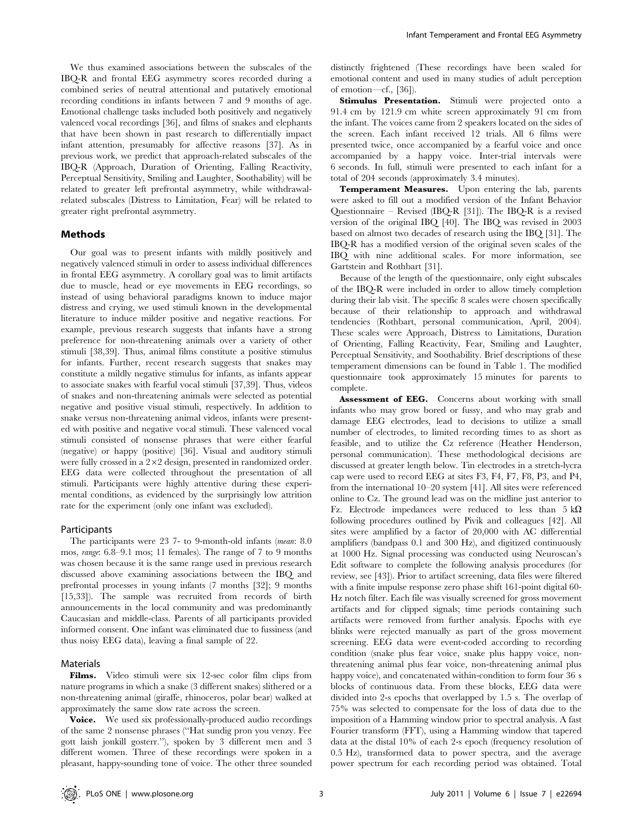We thus examined associations between the subscales of the IBQ-R and frontal EEG asymmetry scores recorded during a combined series of neutral attentional and putatively emotional recording conditions in infants between 7 and 9 months of age. Emotional challenge tasks included both positively and negatively valenced vocal recordings [36], and films of snakes and elephants that have been shown in past research to differentially impact infant attention, presumably for affective reasons [37]. As in previous work, we predict that approach-related subscales of the IBQ-R (Approach, Duration of Orienting, Falling Reactivity, Perceptual Sensitivity, Smiling and Laughter, Soothability) will be related to greater left prefrontal asymmetry, while withdrawalrelated subscales (Distress to Limitation, Fear) will be related to greater right prefrontal asymmetry.

#### Methods

Our goal was to present infants with mildly positively and negatively valenced stimuli in order to assess individual differences in frontal EEG asymmetry. A corollary goal was to limit artifacts due to muscle, head or eye movements in EEG recordings, so instead of using behavioral paradigms known to induce major distress and crying, we used stimuli known in the developmental literature to induce milder positive and negative reactions. For example, previous research suggests that infants have a strong preference for non-threatening animals over a variety of other stimuli [38,39]. Thus, animal films constitute a positive stimulus for infants. Further, recent research suggests that snakes may constitute a mildly negative stimulus for infants, as infants appear to associate snakes with fearful vocal stimuli [37,39]. Thus, videos of snakes and non-threatening animals were selected as potential negative and positive visual stimuli, respectively. In addition to snake versus non-threatening animal videos, infants were presented with positive and negative vocal stimuli. These valenced vocal stimuli consisted of nonsense phrases that were either fearful (negative) or happy (positive) [36]. Visual and auditory stimuli were fully crossed in a  $2\times2$  design, presented in randomized order. EEG data were collected throughout the presentation of all stimuli. Participants were highly attentive during these experimental conditions, as evidenced by the surprisingly low attrition rate for the experiment (only one infant was excluded).

#### Participants

The participants were 23 7- to 9-month-old infants (mean: 8.0 mos, range: 6.8–9.1 mos; 11 females). The range of 7 to 9 months was chosen because it is the same range used in previous research discussed above examining associations between the IBQ and prefrontal processes in young infants (7 months [32]; 9 months [15,33]). The sample was recruited from records of birth announcements in the local community and was predominantly Caucasian and middle-class. Parents of all participants provided informed consent. One infant was eliminated due to fussiness (and thus noisy EEG data), leaving a final sample of 22.

#### Materials

Films. Video stimuli were six 12-sec color film clips from nature programs in which a snake (3 different snakes) slithered or a non-threatening animal (giraffe, rhinoceros, polar bear) walked at approximately the same slow rate across the screen.

Voice. We used six professionally-produced audio recordings of the same 2 nonsense phrases (''Hat sundig pron you venzy. Fee gott laish jonkill gosterr.''), spoken by 3 different men and 3 different women. Three of these recordings were spoken in a pleasant, happy-sounding tone of voice. The other three sounded

distinctly frightened (These recordings have been scaled for emotional content and used in many studies of adult perception of emotion—cf., [36]).

Stimulus Presentation. Stimuli were projected onto a 91.4 cm by 121.9 cm white screen approximately 91 cm from the infant. The voices came from 2 speakers located on the sides of the screen. Each infant received 12 trials. All 6 films were presented twice, once accompanied by a fearful voice and once accompanied by a happy voice. Inter-trial intervals were 6 seconds. In full, stimuli were presented to each infant for a total of 204 seconds (approximately 3.4 minutes).

Temperament Measures. Upon entering the lab, parents were asked to fill out a modified version of the Infant Behavior Questionnaire – Revised (IBQ-R [31]). The IBQ-R is a revised version of the original IBQ [40]. The IBQ was revised in 2003 based on almost two decades of research using the IBQ [31]. The IBQ-R has a modified version of the original seven scales of the IBQ with nine additional scales. For more information, see Gartstein and Rothbart [31].

Because of the length of the questionnaire, only eight subscales of the IBQ-R were included in order to allow timely completion during their lab visit. The specific 8 scales were chosen specifically because of their relationship to approach and withdrawal tendencies (Rothbart, personal communication, April, 2004). These scales were Approach, Distress to Limitations, Duration of Orienting, Falling Reactivity, Fear, Smiling and Laughter, Perceptual Sensitivity, and Soothability. Brief descriptions of these temperament dimensions can be found in Table 1. The modified questionnaire took approximately 15 minutes for parents to complete.

Assessment of EEG. Concerns about working with small infants who may grow bored or fussy, and who may grab and damage EEG electrodes, lead to decisions to utilize a small number of electrodes, to limited recording times to as short as feasible, and to utilize the Cz reference (Heather Henderson, personal communication). These methodological decisions are discussed at greater length below. Tin electrodes in a stretch-lycra cap were used to record EEG at sites F3, F4, F7, F8, P3, and P4, from the international 10–20 system [41]. All sites were referenced online to Cz. The ground lead was on the midline just anterior to Fz. Electrode impedances were reduced to less than  $5 \text{ k}\Omega$ following procedures outlined by Pivik and colleagues [42]. All sites were amplified by a factor of 20,000 with AC differential amplifiers (bandpass 0.1 and 300 Hz), and digitized continuously at 1000 Hz. Signal processing was conducted using Neuroscan's Edit software to complete the following analysis procedures (for review, see [43]). Prior to artifact screening, data files were filtered with a finite impulse response zero phase shift 161-point digital 60- Hz notch filter. Each file was visually screened for gross movement artifacts and for clipped signals; time periods containing such artifacts were removed from further analysis. Epochs with eye blinks were rejected manually as part of the gross movement screening. EEG data were event-coded according to recording condition (snake plus fear voice, snake plus happy voice, nonthreatening animal plus fear voice, non-threatening animal plus happy voice), and concatenated within-condition to form four 36 s blocks of continuous data. From these blocks, EEG data were divided into 2-s epochs that overlapped by 1.5 s. The overlap of 75% was selected to compensate for the loss of data due to the imposition of a Hamming window prior to spectral analysis. A fast Fourier transform (FFT), using a Hamming window that tapered data at the distal 10% of each 2-s epoch (frequency resolution of 0.5 Hz), transformed data to power spectra, and the average power spectrum for each recording period was obtained. Total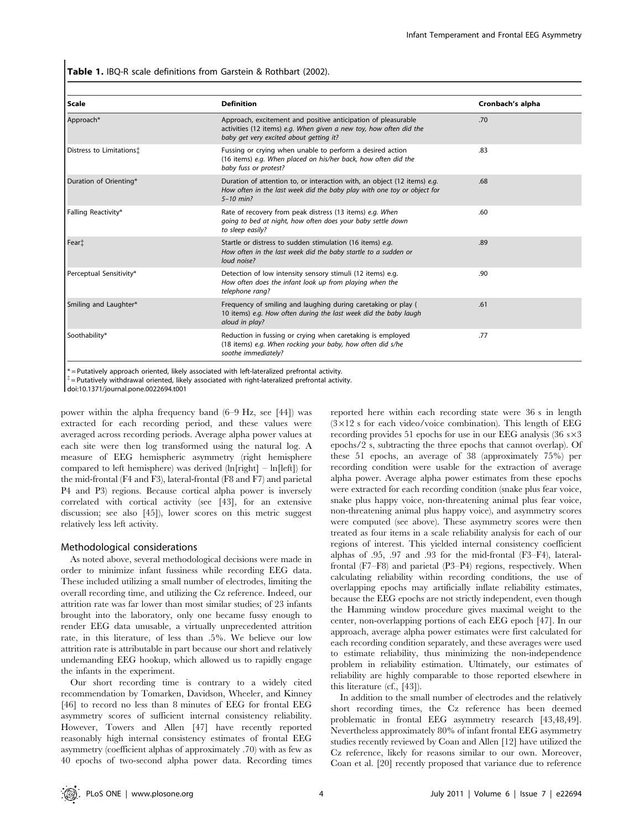Table 1. IBQ-R scale definitions from Garstein & Rothbart (2002).

| Scale                    | <b>Definition</b>                                                                                                                                                              | Cronbach's alpha |  |
|--------------------------|--------------------------------------------------------------------------------------------------------------------------------------------------------------------------------|------------------|--|
| Approach*                | Approach, excitement and positive anticipation of pleasurable<br>activities (12 items) e.g. When given a new toy, how often did the<br>baby get very excited about getting it? | .70              |  |
| Distress to Limitations: | Fussing or crying when unable to perform a desired action<br>(16 items) e.g. When placed on his/her back, how often did the<br>baby fuss or protest?                           | .83              |  |
| Duration of Orienting*   | Duration of attention to, or interaction with, an object (12 items) e.g.<br>How often in the last week did the baby play with one toy or object for<br>$5 - 10$ min?           | .68              |  |
| Falling Reactivity*      | Rate of recovery from peak distress (13 items) e.g. When<br>going to bed at night, how often does your baby settle down<br>to sleep easily?                                    | .60              |  |
| Feart                    | Startle or distress to sudden stimulation (16 items) e.g.<br>How often in the last week did the baby startle to a sudden or<br>loud noise?                                     | .89              |  |
| Perceptual Sensitivity*  | Detection of low intensity sensory stimuli (12 items) e.g.<br>How often does the infant look up from playing when the<br>telephone rang?                                       | .90              |  |
| Smiling and Laughter*    | Frequency of smiling and laughing during caretaking or play (<br>10 items) e.g. How often during the last week did the baby laugh<br>aloud in play?                            | .61              |  |
| Soothability*            | Reduction in fussing or crying when caretaking is employed<br>(18 items) e.g. When rocking your baby, how often did s/he<br>soothe immediately?                                | .77              |  |

\* = Putatively approach oriented, likely associated with left-lateralized prefrontal activity.

 $*$  = Putatively withdrawal oriented, likely associated with right-lateralized prefrontal activity.

doi:10.1371/journal.pone.0022694.t001

power within the alpha frequency band (6–9 Hz, see [44]) was extracted for each recording period, and these values were averaged across recording periods. Average alpha power values at each site were then log transformed using the natural log. A measure of EEG hemispheric asymmetry (right hemisphere compared to left hemisphere) was derived  $(ln[right] - ln[left])$  for the mid-frontal (F4 and F3), lateral-frontal (F8 and F7) and parietal P4 and P3) regions. Because cortical alpha power is inversely correlated with cortical activity (see [43], for an extensive discussion; see also [45]), lower scores on this metric suggest relatively less left activity.

#### Methodological considerations

As noted above, several methodological decisions were made in order to minimize infant fussiness while recording EEG data. These included utilizing a small number of electrodes, limiting the overall recording time, and utilizing the Cz reference. Indeed, our attrition rate was far lower than most similar studies; of 23 infants brought into the laboratory, only one became fussy enough to render EEG data unusable, a virtually unprecedented attrition rate, in this literature, of less than .5%. We believe our low attrition rate is attributable in part because our short and relatively undemanding EEG hookup, which allowed us to rapidly engage the infants in the experiment.

Our short recording time is contrary to a widely cited recommendation by Tomarken, Davidson, Wheeler, and Kinney [46] to record no less than 8 minutes of EEG for frontal EEG asymmetry scores of sufficient internal consistency reliability. However, Towers and Allen [47] have recently reported reasonably high internal consistency estimates of frontal EEG asymmetry (coefficient alphas of approximately .70) with as few as 40 epochs of two-second alpha power data. Recording times reported here within each recording state were 36 s in length  $(3\times12)$  s for each video/voice combination). This length of EEG recording provides 51 epochs for use in our EEG analysis  $(36 \text{ s} \times 3)$ epochs/2 s, subtracting the three epochs that cannot overlap). Of these 51 epochs, an average of 38 (approximately 75%) per recording condition were usable for the extraction of average alpha power. Average alpha power estimates from these epochs were extracted for each recording condition (snake plus fear voice, snake plus happy voice, non-threatening animal plus fear voice, non-threatening animal plus happy voice), and asymmetry scores were computed (see above). These asymmetry scores were then treated as four items in a scale reliability analysis for each of our regions of interest. This yielded internal consistency coefficient alphas of .95, .97 and .93 for the mid-frontal (F3–F4), lateralfrontal (F7–F8) and parietal (P3–P4) regions, respectively. When calculating reliability within recording conditions, the use of overlapping epochs may artificially inflate reliability estimates, because the EEG epochs are not strictly independent, even though the Hamming window procedure gives maximal weight to the center, non-overlapping portions of each EEG epoch [47]. In our approach, average alpha power estimates were first calculated for each recording condition separately, and these averages were used to estimate reliability, thus minimizing the non-independence problem in reliability estimation. Ultimately, our estimates of reliability are highly comparable to those reported elsewhere in this literature (cf., [43]).

In addition to the small number of electrodes and the relatively short recording times, the Cz reference has been deemed problematic in frontal EEG asymmetry research [43,48,49]. Nevertheless approximately 80% of infant frontal EEG asymmetry studies recently reviewed by Coan and Allen [12] have utilized the Cz reference, likely for reasons similar to our own. Moreover, Coan et al. [20] recently proposed that variance due to reference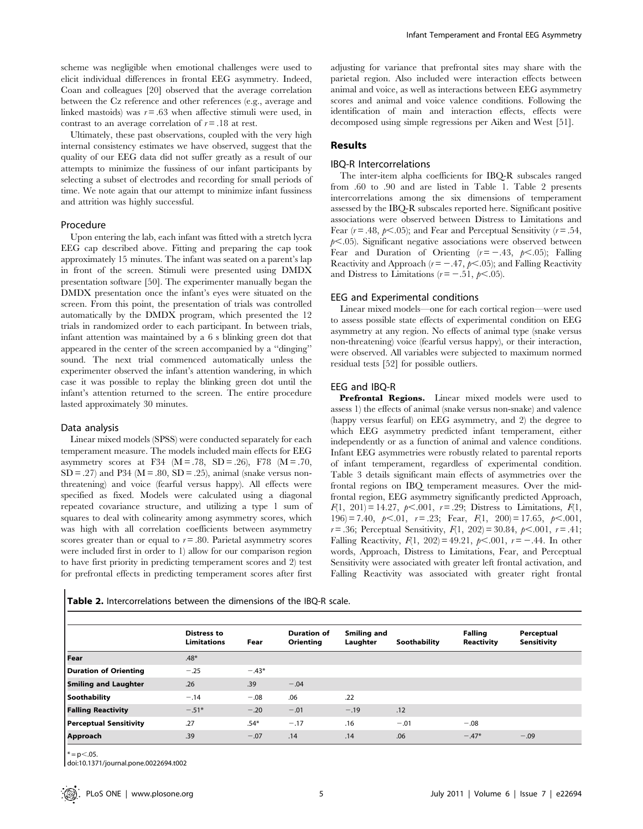scheme was negligible when emotional challenges were used to elicit individual differences in frontal EEG asymmetry. Indeed, Coan and colleagues [20] observed that the average correlation between the Cz reference and other references (e.g., average and linked mastoids) was  $r = .63$  when affective stimuli were used, in contrast to an average correlation of  $r = .18$  at rest.

Ultimately, these past observations, coupled with the very high internal consistency estimates we have observed, suggest that the quality of our EEG data did not suffer greatly as a result of our attempts to minimize the fussiness of our infant participants by selecting a subset of electrodes and recording for small periods of time. We note again that our attempt to minimize infant fussiness and attrition was highly successful.

#### Procedure

Upon entering the lab, each infant was fitted with a stretch lycra EEG cap described above. Fitting and preparing the cap took approximately 15 minutes. The infant was seated on a parent's lap in front of the screen. Stimuli were presented using DMDX presentation software [50]. The experimenter manually began the DMDX presentation once the infant's eyes were situated on the screen. From this point, the presentation of trials was controlled automatically by the DMDX program, which presented the 12 trials in randomized order to each participant. In between trials, infant attention was maintained by a 6 s blinking green dot that appeared in the center of the screen accompanied by a ''dinging'' sound. The next trial commenced automatically unless the experimenter observed the infant's attention wandering, in which case it was possible to replay the blinking green dot until the infant's attention returned to the screen. The entire procedure lasted approximately 30 minutes.

### Data analysis

Linear mixed models (SPSS) were conducted separately for each temperament measure. The models included main effects for EEG asymmetry scores at F34 ( $M = .78$ , SD = .26), F78 ( $M = .70$ ,  $SD = .27$ ) and P34 ( $M = .80$ ,  $SD = .25$ ), animal (snake versus nonthreatening) and voice (fearful versus happy). All effects were specified as fixed. Models were calculated using a diagonal repeated covariance structure, and utilizing a type 1 sum of squares to deal with colinearity among asymmetry scores, which was high with all correlation coefficients between asymmetry scores greater than or equal to  $r = .80$ . Parietal asymmetry scores were included first in order to 1) allow for our comparison region to have first priority in predicting temperament scores and 2) test for prefrontal effects in predicting temperament scores after first

Table 2. Intercorrelations between the dimensions of the IBQ-R scale.

adjusting for variance that prefrontal sites may share with the parietal region. Also included were interaction effects between animal and voice, as well as interactions between EEG asymmetry scores and animal and voice valence conditions. Following the identification of main and interaction effects, effects were decomposed using simple regressions per Aiken and West [51].

#### Results

#### IBQ-R Intercorrelations

The inter-item alpha coefficients for IBQ-R subscales ranged from .60 to .90 and are listed in Table 1. Table 2 presents intercorrelations among the six dimensions of temperament assessed by the IBQ-R subscales reported here. Significant positive associations were observed between Distress to Limitations and Fear ( $r = .48$ ,  $p \le .05$ ); and Fear and Perceptual Sensitivity ( $r = .54$ ,  $p<.05$ ). Significant negative associations were observed between Fear and Duration of Orienting  $(r=-.43, p<.05)$ ; Falling Reactivity and Approach ( $r = -0.47$ ,  $p < 0.05$ ); and Falling Reactivity and Distress to Limitations ( $r = -.51, p < .05$ ).

#### EEG and Experimental conditions

Linear mixed models—one for each cortical region—were used to assess possible state effects of experimental condition on EEG asymmetry at any region. No effects of animal type (snake versus non-threatening) voice (fearful versus happy), or their interaction, were observed. All variables were subjected to maximum normed residual tests [52] for possible outliers.

#### EEG and IBQ-R

Prefrontal Regions. Linear mixed models were used to assess 1) the effects of animal (snake versus non-snake) and valence (happy versus fearful) on EEG asymmetry, and 2) the degree to which EEG asymmetry predicted infant temperament, either independently or as a function of animal and valence conditions. Infant EEG asymmetries were robustly related to parental reports of infant temperament, regardless of experimental condition. Table 3 details significant main effects of asymmetries over the frontal regions on IBQ temperament measures. Over the midfrontal region, EEG asymmetry significantly predicted Approach,  $F(1, 201) = 14.27, p<.001, r = .29;$  Distress to Limitations,  $F(1, 1, 1)$  $196$ ) = 7.40,  $p<.01$ ,  $r=.23$ ; Fear,  $F(1, 200) = 17.65$ ,  $p<.001$ ,  $r = .36$ ; Perceptual Sensitivity,  $F(1, 202) = 30.84$ ,  $p < .001$ ,  $r = .41$ ; Falling Reactivity,  $F(1, 202) = 49.21$ ,  $p<.001$ ,  $r=-.44$ . In other words, Approach, Distress to Limitations, Fear, and Perceptual Sensitivity were associated with greater left frontal activation, and Falling Reactivity was associated with greater right frontal

|                               | <b>Distress to</b><br><b>Limitations</b> | Fear    | <b>Duration of</b><br>Orienting | <b>Smiling and</b><br>Laughter | <b>Soothability</b> | <b>Falling</b><br><b>Reactivity</b> | Perceptual<br><b>Sensitivity</b> |
|-------------------------------|------------------------------------------|---------|---------------------------------|--------------------------------|---------------------|-------------------------------------|----------------------------------|
| l Fear                        | $.48*$                                   |         |                                 |                                |                     |                                     |                                  |
| Duration of Orienting         | $-.25$                                   | $-.43*$ |                                 |                                |                     |                                     |                                  |
| <b>Smiling and Laughter</b>   | .26                                      | .39     | $-.04$                          |                                |                     |                                     |                                  |
| <b>Soothability</b>           | $-.14$                                   | $-.08$  | .06                             | .22                            |                     |                                     |                                  |
| <b>Falling Reactivity</b>     | $-.51*$                                  | $-.20$  | $-.01$                          | $-.19$                         | .12                 |                                     |                                  |
| <b>Perceptual Sensitivity</b> | .27                                      | $.54*$  | $-.17$                          | .16                            | $-.01$              | $-.08$                              |                                  |
| Approach                      | .39                                      | $-.07$  | .14                             | .14                            | .06                 | $-.47*$                             | $-.09$                           |

 $* = p < .05$ .

doi:10.1371/journal.pone.0022694.t002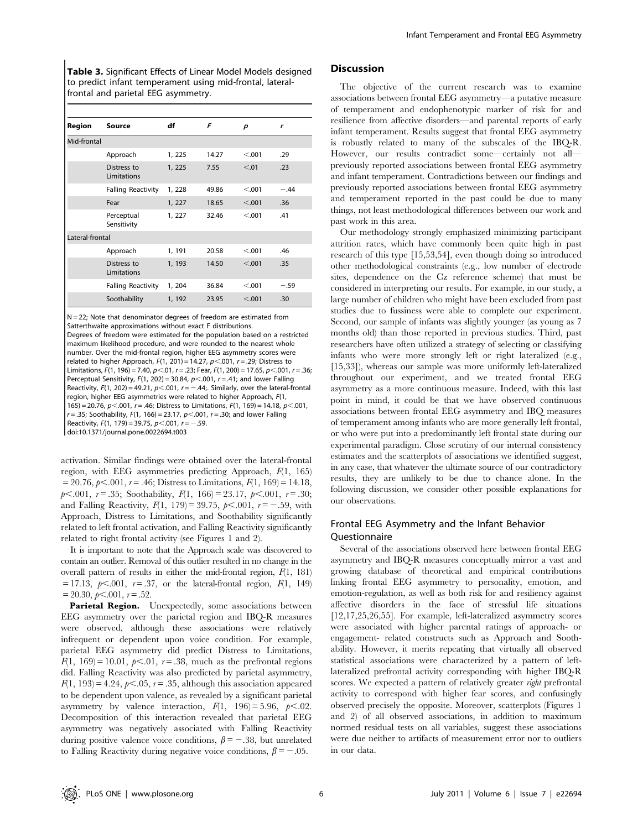Table 3. Significant Effects of Linear Model Models designed to predict infant temperament using mid-frontal, lateralfrontal and parietal EEG asymmetry.

| Region          | Source                     | df     | F     | p       | r      |  |
|-----------------|----------------------------|--------|-------|---------|--------|--|
| Mid-frontal     |                            |        |       |         |        |  |
|                 | Approach                   | 1, 225 | 14.27 | < 0.01  | .29    |  |
|                 | Distress to<br>Limitations | 1, 225 | 7.55  | < 0.01  | .23    |  |
|                 | <b>Falling Reactivity</b>  | 1, 228 | 49.86 | < 0.01  | $-.44$ |  |
|                 | Fear                       | 1, 227 | 18.65 | < .001  | .36    |  |
|                 | Perceptual<br>Sensitivity  | 1, 227 | 32.46 | < 0.01  | .41    |  |
| Lateral-frontal |                            |        |       |         |        |  |
|                 | Approach                   | 1, 191 | 20.58 | < 0.01  | .46    |  |
|                 | Distress to<br>Limitations | 1, 193 | 14.50 | < 0.01  | .35    |  |
|                 | <b>Falling Reactivity</b>  | 1, 204 | 36.84 | < 0.01  | $-.59$ |  |
|                 | Soothability               | 1, 192 | 23.95 | < 0.001 | .30    |  |

N = 22; Note that denominator degrees of freedom are estimated from Satterthwaite approximations without exact F distributions. Degrees of freedom were estimated for the population based on a restricted maximum likelihood procedure, and were rounded to the nearest whole number. Over the mid-frontal region, higher EEG asymmetry scores were related to higher Approach,  $F(1, 201) = 14.27$ ,  $p<.001$ ,  $r = .29$ ; Distress to Limitations,  $F(1, 196) = 7.40$ ,  $p<.01$ ,  $r = .23$ ; Fear,  $F(1, 200) = 17.65$ ,  $p<.001$ ,  $r = .36$ ; Perceptual Sensitivity,  $F(1, 202) = 30.84$ ,  $p<.001$ ,  $r = .41$ ; and lower Falling Reactivity,  $F(1, 202) = 49.21$ ,  $p<.001$ ,  $r = -.44$ ;. Similarly, over the lateral-frontal region, higher EEG asymmetries were related to higher Approach, F(1, 165) = 20.76,  $p<.001$ ,  $r=.46$ ; Distress to Limitations,  $F(1, 169) = 14.18$ ,  $p<.001$ ,  $r = .35$ ; Soothability,  $F(1, 166) = 23.17$ ,  $p < .001$ ,  $r = .30$ ; and lower Falling Reactivity,  $F(1, 179) = 39.75$ ,  $p < .001$ ,  $r = -.59$ . doi:10.1371/journal.pone.0022694.t003

activation. Similar findings were obtained over the lateral-frontal region, with EEG asymmetries predicting Approach,  $F(1, 165)$  $= 20.76, p<.001, r=.46;$  Distress to Limitations,  $F(1, 169) = 14.18$ ,  $p<.001$ ,  $r=.35$ ; Soothability,  $F(1, 166) = 23.17$ ,  $p<.001$ ,  $r=.30$ ; and Falling Reactivity,  $F(1, 179) = 39.75$ ,  $p < .001$ ,  $r = -.59$ , with Approach, Distress to Limitations, and Soothability significantly related to left frontal activation, and Falling Reactivity significantly related to right frontal activity (see Figures 1 and 2).

It is important to note that the Approach scale was discovered to contain an outlier. Removal of this outlier resulted in no change in the overall pattern of results in either the mid-frontal region,  $F(1, 181)$  $= 17.13, p<.001, r = .37,$  or the lateral-frontal region,  $F(1, 149)$  $= 20.30, p<.001, r=.52.$ 

Parietal Region. Unexpectedly, some associations between EEG asymmetry over the parietal region and IBQ-R measures were observed, although these associations were relatively infrequent or dependent upon voice condition. For example, parietal EEG asymmetry did predict Distress to Limitations,  $F(1, 169) = 10.01, p<.01, r = .38$ , much as the prefrontal regions did. Falling Reactivity was also predicted by parietal asymmetry,  $F(1, 193) = 4.24$ ,  $p<.05$ ,  $r = .35$ , although this association appeared to be dependent upon valence, as revealed by a significant parietal asymmetry by valence interaction,  $F(1, 196) = 5.96, p<.02$ . Decomposition of this interaction revealed that parietal EEG asymmetry was negatively associated with Falling Reactivity during positive valence voice conditions,  $\beta = -0.38$ , but unrelated to Falling Reactivity during negative voice conditions,  $\beta = -.05$ .

#### **Discussion**

The objective of the current research was to examine associations between frontal EEG asymmetry—a putative measure of temperament and endophenotypic marker of risk for and resilience from affective disorders—and parental reports of early infant temperament. Results suggest that frontal EEG asymmetry is robustly related to many of the subscales of the IBQ-R. However, our results contradict some—certainly not all previously reported associations between frontal EEG asymmetry and infant temperament. Contradictions between our findings and previously reported associations between frontal EEG asymmetry and temperament reported in the past could be due to many things, not least methodological differences between our work and past work in this area.

Our methodology strongly emphasized minimizing participant attrition rates, which have commonly been quite high in past research of this type [15,53,54], even though doing so introduced other methodological constraints (e.g., low number of electrode sites, dependence on the Cz reference scheme) that must be considered in interpreting our results. For example, in our study, a large number of children who might have been excluded from past studies due to fussiness were able to complete our experiment. Second, our sample of infants was slightly younger (as young as 7 months old) than those reported in previous studies. Third, past researchers have often utilized a strategy of selecting or classifying infants who were more strongly left or right lateralized (e.g., [15,33]), whereas our sample was more uniformly left-lateralized throughout our experiment, and we treated frontal EEG asymmetry as a more continuous measure. Indeed, with this last point in mind, it could be that we have observed continuous associations between frontal EEG asymmetry and IBQ measures of temperament among infants who are more generally left frontal, or who were put into a predominantly left frontal state during our experimental paradigm. Close scrutiny of our internal consistency estimates and the scatterplots of associations we identified suggest, in any case, that whatever the ultimate source of our contradictory results, they are unlikely to be due to chance alone. In the following discussion, we consider other possible explanations for our observations.

## Frontal EEG Asymmetry and the Infant Behavior **Ouestionnaire**

Several of the associations observed here between frontal EEG asymmetry and IBQ-R measures conceptually mirror a vast and growing database of theoretical and empirical contributions linking frontal EEG asymmetry to personality, emotion, and emotion-regulation, as well as both risk for and resiliency against affective disorders in the face of stressful life situations [12,17,25,26,55]. For example, left-lateralized asymmetry scores were associated with higher parental ratings of approach- or engagement- related constructs such as Approach and Soothability. However, it merits repeating that virtually all observed statistical associations were characterized by a pattern of leftlateralized prefrontal activity corresponding with higher IBQ-R scores. We expected a pattern of relatively greater right prefrontal activity to correspond with higher fear scores, and confusingly observed precisely the opposite. Moreover, scatterplots (Figures 1 and 2) of all observed associations, in addition to maximum normed residual tests on all variables, suggest these associations were due neither to artifacts of measurement error nor to outliers in our data.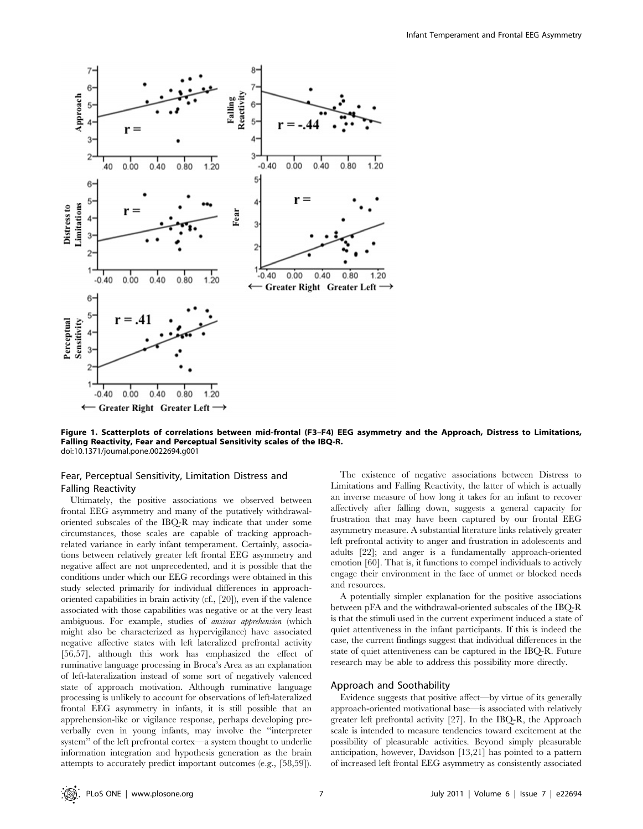

Figure 1. Scatterplots of correlations between mid-frontal (F3–F4) EEG asymmetry and the Approach, Distress to Limitations, Falling Reactivity, Fear and Perceptual Sensitivity scales of the IBQ-R. doi:10.1371/journal.pone.0022694.g001

## Fear, Perceptual Sensitivity, Limitation Distress and Falling Reactivity

Ultimately, the positive associations we observed between frontal EEG asymmetry and many of the putatively withdrawaloriented subscales of the IBQ-R may indicate that under some circumstances, those scales are capable of tracking approachrelated variance in early infant temperament. Certainly, associations between relatively greater left frontal EEG asymmetry and negative affect are not unprecedented, and it is possible that the conditions under which our EEG recordings were obtained in this study selected primarily for individual differences in approachoriented capabilities in brain activity (cf., [20]), even if the valence associated with those capabilities was negative or at the very least ambiguous. For example, studies of anxious apprehension (which might also be characterized as hypervigilance) have associated negative affective states with left lateralized prefrontal activity [56,57], although this work has emphasized the effect of ruminative language processing in Broca's Area as an explanation of left-lateralization instead of some sort of negatively valenced state of approach motivation. Although ruminative language processing is unlikely to account for observations of left-lateralized frontal EEG asymmetry in infants, it is still possible that an apprehension-like or vigilance response, perhaps developing preverbally even in young infants, may involve the ''interpreter system'' of the left prefrontal cortex—a system thought to underlie information integration and hypothesis generation as the brain attempts to accurately predict important outcomes (e.g., [58,59]).

The existence of negative associations between Distress to Limitations and Falling Reactivity, the latter of which is actually an inverse measure of how long it takes for an infant to recover affectively after falling down, suggests a general capacity for frustration that may have been captured by our frontal EEG asymmetry measure. A substantial literature links relatively greater left prefrontal activity to anger and frustration in adolescents and adults [22]; and anger is a fundamentally approach-oriented emotion [60]. That is, it functions to compel individuals to actively engage their environment in the face of unmet or blocked needs and resources.

A potentially simpler explanation for the positive associations between pFA and the withdrawal-oriented subscales of the IBQ-R is that the stimuli used in the current experiment induced a state of quiet attentiveness in the infant participants. If this is indeed the case, the current findings suggest that individual differences in the state of quiet attentiveness can be captured in the IBQ-R. Future research may be able to address this possibility more directly.

#### Approach and Soothability

Evidence suggests that positive affect—by virtue of its generally approach-oriented motivational base—is associated with relatively greater left prefrontal activity [27]. In the IBQ-R, the Approach scale is intended to measure tendencies toward excitement at the possibility of pleasurable activities. Beyond simply pleasurable anticipation, however, Davidson [13,21] has pointed to a pattern of increased left frontal EEG asymmetry as consistently associated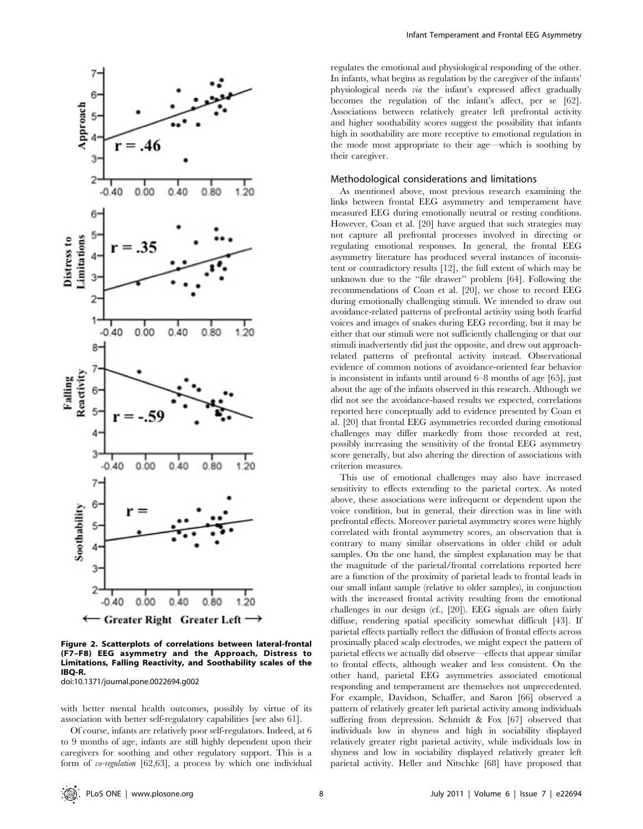

Figure 2. Scatterplots of correlations between lateral-frontal (F7–F8) EEG asymmetry and the Approach, Distress to Limitations, Falling Reactivity, and Soothability scales of the IBQ-R.

doi:10.1371/journal.pone.0022694.g002

with better mental health outcomes, possibly by virtue of its association with better self-regulatory capabilities [see also 61].

Of course, infants are relatively poor self-regulators. Indeed, at 6 to 9 months of age, infants are still highly dependent upon their caregivers for soothing and other regulatory support. This is a form of co-regulation [62,63], a process by which one individual regulates the emotional and physiological responding of the other. In infants, what begins as regulation by the caregiver of the infants' physiological needs via the infant's expressed affect gradually becomes the regulation of the infant's affect, per se [62]. Associations between relatively greater left prefrontal activity and higher soothability scores suggest the possibility that infants high in soothability are more receptive to emotional regulation in the mode most appropriate to their age—which is soothing by their caregiver.

#### Methodological considerations and limitations

As mentioned above, most previous research examining the links between frontal EEG asymmetry and temperament have measured EEG during emotionally neutral or resting conditions. However, Coan et al. [20] have argued that such strategies may not capture all prefrontal processes involved in directing or regulating emotional responses. In general, the frontal EEG asymmetry literature has produced several instances of inconsistent or contradictory results [12], the full extent of which may be unknown due to the ''file drawer'' problem [64]. Following the recommendations of Coan et al. [20], we chose to record EEG during emotionally challenging stimuli. We intended to draw out avoidance-related patterns of prefrontal activity using both fearful voices and images of snakes during EEG recording, but it may be either that our stimuli were not sufficiently challenging or that our stimuli inadvertently did just the opposite, and drew out approachrelated patterns of prefrontal activity instead. Observational evidence of common notions of avoidance-oriented fear behavior is inconsistent in infants until around 6–8 months of age [65], just about the age of the infants observed in this research. Although we did not see the avoidance-based results we expected, correlations reported here conceptually add to evidence presented by Coan et al. [20] that frontal EEG asymmetries recorded during emotional challenges may differ markedly from those recorded at rest, possibly increasing the sensitivity of the frontal EEG asymmetry score generally, but also altering the direction of associations with criterion measures.

This use of emotional challenges may also have increased sensitivity to effects extending to the parietal cortex. As noted above, these associations were infrequent or dependent upon the voice condition, but in general, their direction was in line with prefrontal effects. Moreover parietal asymmetry scores were highly correlated with frontal asymmetry scores, an observation that is contrary to many similar observations in older child or adult samples. On the one hand, the simplest explanation may be that the magnitude of the parietal/frontal correlations reported here are a function of the proximity of parietal leads to frontal leads in our small infant sample (relative to older samples), in conjunction with the increased frontal activity resulting from the emotional challenges in our design (cf., [20]). EEG signals are often fairly diffuse, rendering spatial specificity somewhat difficult [43]. If parietal effects partially reflect the diffusion of frontal effects across proximally placed scalp electrodes, we might expect the pattern of parietal effects we actually did observe—effects that appear similar to frontal effects, although weaker and less consistent. On the other hand, parietal EEG asymmetries associated emotional responding and temperament are themselves not unprecedented. For example, Davidson, Schaffer, and Saron [66] observed a pattern of relatively greater left parietal activity among individuals suffering from depression. Schmidt & Fox [67] observed that individuals low in shyness and high in sociability displayed relatively greater right parietal activity, while individuals low in shyness and low in sociability displayed relatively greater left parietal activity. Heller and Nitschke [68] have proposed that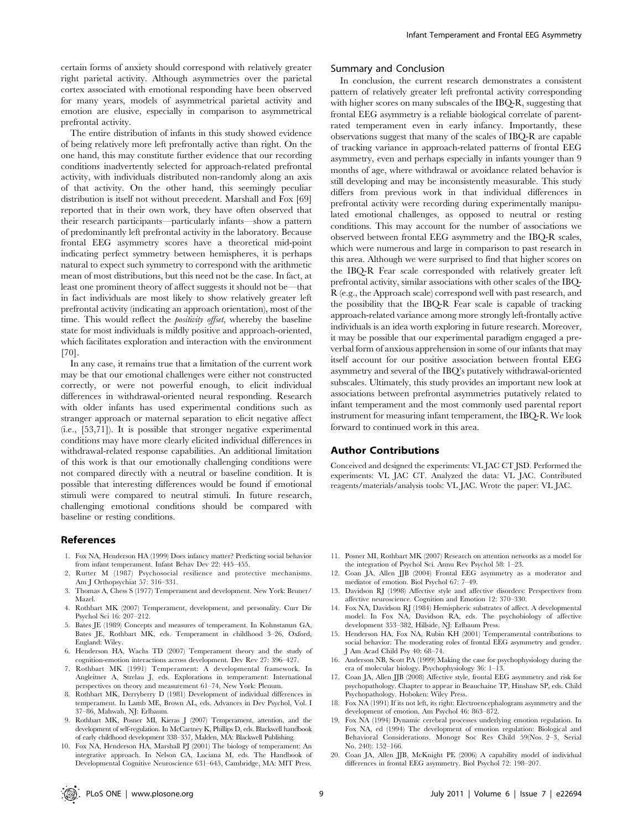certain forms of anxiety should correspond with relatively greater right parietal activity. Although asymmetries over the parietal cortex associated with emotional responding have been observed for many years, models of asymmetrical parietal activity and emotion are elusive, especially in comparison to asymmetrical prefrontal activity.

The entire distribution of infants in this study showed evidence of being relatively more left prefrontally active than right. On the one hand, this may constitute further evidence that our recording conditions inadvertently selected for approach-related prefrontal activity, with individuals distributed non-randomly along an axis of that activity. On the other hand, this seemingly peculiar distribution is itself not without precedent. Marshall and Fox [69] reported that in their own work, they have often observed that their research participants—particularly infants—show a pattern of predominantly left prefrontal activity in the laboratory. Because frontal EEG asymmetry scores have a theoretical mid-point indicating perfect symmetry between hemispheres, it is perhaps natural to expect such symmetry to correspond with the arithmetic mean of most distributions, but this need not be the case. In fact, at least one prominent theory of affect suggests it should not be—that in fact individuals are most likely to show relatively greater left prefrontal activity (indicating an approach orientation), most of the time. This would reflect the *positivity offset*, whereby the baseline state for most individuals is mildly positive and approach-oriented, which facilitates exploration and interaction with the environment [70].

In any case, it remains true that a limitation of the current work may be that our emotional challenges were either not constructed correctly, or were not powerful enough, to elicit individual differences in withdrawal-oriented neural responding. Research with older infants has used experimental conditions such as stranger approach or maternal separation to elicit negative affect (i.e., [53,71]). It is possible that stronger negative experimental conditions may have more clearly elicited individual differences in withdrawal-related response capabilities. An additional limitation of this work is that our emotionally challenging conditions were not compared directly with a neutral or baseline condition. It is possible that interesting differences would be found if emotional stimuli were compared to neutral stimuli. In future research, challenging emotional conditions should be compared with baseline or resting conditions.

#### References

- 1. Fox NA, Henderson HA (1999) Does infancy matter? Predicting social behavior from infant temperament. Infant Behav Dev 22: 445–455.
- 2. Rutter M (1987) Psychosocial resilience and protective mechanisms. Am J Orthopsychiat 57: 316–331.
- 3. Thomas A, Chess S (1977) Temperament and development. New York: Bruner/ Mazel.
- 4. Rothbart MK (2007) Temperament, development, and personality. Curr Dir Psychol Sci 16: 207–212.
- 5. Bates JE (1989) Concepts and measures of temperament. In Kohnstamm GA, Bates JE, Rothbart MK, eds. Temperament in childhood 3–26, Oxford, England: Wiley.
- 6. Henderson HA, Wachs TD (2007) Temperament theory and the study of cognition-emotion interactions across development. Dev Rev 27: 396–427.
- 7. Rothbart MK (1991) Temperament: A developmental framework. In Angleitner A, Strelau J, eds. Explorations in temperament: International perspectives on theory and measurement 61–74, New York: Plenum.
- 8. Rothbart MK, Derryberry D (1981) Development of individual differences in temperament. In Lamb ME, Brown AL, eds. Advances in Dev Psychol, Vol. I 37–86, Mahwah, NJ: Erlbaum.
- 9. Rothbart MK, Posner MI, Kieras J (2007) Temperament, attention, and the development of self-regulation. In McCartney K, Phillips D, eds. Blackwell handbook of early childhood development 338–357, Malden, MA: Blackwell Publishing.
- 10. Fox NA, Henderson HA, Marshall PJ (2001) The biology of temperament: An integrative approach. In Nelson CA, Luciana M, eds. The Handbook of Developmental Cognitive Neuroscience 631–645, Cambridge, MA: MIT Press.

#### Summary and Conclusion

In conclusion, the current research demonstrates a consistent pattern of relatively greater left prefrontal activity corresponding with higher scores on many subscales of the IBQ-R, suggesting that frontal EEG asymmetry is a reliable biological correlate of parentrated temperament even in early infancy. Importantly, these observations suggest that many of the scales of IBQ-R are capable of tracking variance in approach-related patterns of frontal EEG asymmetry, even and perhaps especially in infants younger than 9 months of age, where withdrawal or avoidance related behavior is still developing and may be inconsistently measurable. This study differs from previous work in that individual differences in prefrontal activity were recording during experimentally manipulated emotional challenges, as opposed to neutral or resting conditions. This may account for the number of associations we observed between frontal EEG asymmetry and the IBQ-R scales, which were numerous and large in comparison to past research in this area. Although we were surprised to find that higher scores on the IBQ-R Fear scale corresponded with relatively greater left prefrontal activity, similar associations with other scales of the IBQ-R (e.g., the Approach scale) correspond well with past research, and the possibility that the IBQ-R Fear scale is capable of tracking approach-related variance among more strongly left-frontally active individuals is an idea worth exploring in future research. Moreover, it may be possible that our experimental paradigm engaged a preverbal form of anxious apprehension in some of our infants that may itself account for our positive association between frontal EEG asymmetry and several of the IBQ's putatively withdrawal-oriented subscales. Ultimately, this study provides an important new look at associations between prefrontal asymmetries putatively related to infant temperament and the most commonly used parental report instrument for measuring infant temperament, the IBQ-R. We look forward to continued work in this area.

#### Author Contributions

Conceived and designed the experiments: VL JAC CT JSD. Performed the experiments: VL JAC CT. Analyzed the data: VL JAC. Contributed reagents/materials/analysis tools: VL JAC. Wrote the paper: VL JAC.

- 11. Posner MI, Rothbart MK (2007) Research on attention networks as a model for the integration of Psychol Sci. Annu Rev Psychol 58: 1–23.
- 12. Coan JA, Allen JJB (2004) Frontal EEG asymmetry as a moderator and mediator of emotion. Biol Psychol 67: 7–49.
- 13. Davidson RJ (1998) Affective style and affective disorders: Perspectives from affective neuroscience. Cognition and Emotion 12: 370–330.
- 14. Fox NA, Davidson RJ (1984) Hemispheric substrates of affect. A developmental model. In Fox NA, Davidson RA, eds. The psychobiology of affective development 353–382, Hillside, NJ: Erlbaum Press.
- 15. Henderson HA, Fox NA, Rubin KH (2001) Temperamental contributions to social behavior: The moderating roles of frontal EEG asymmetry and gender. J Am Acad Child Psy 40: 68–74.
- 16. Anderson NB, Scott PA (1999) Making the case for psychophysiology during the era of molecular biology. Psychophysiology 36: 1–13.
- 17. Coan JA, Allen JJB (2008) Affective style, frontal EEG asymmetry and risk for psychopathology. Chapter to appear in Beauchaine TP, Hinshaw SP, eds. Child Psychopathology. Hoboken: Wiley Press.
- 18. Fox NA (1991) If its not left, its right: Electroencephalogram asymmetry and the development of emotion. Am Psychol 46: 863–872.
- 19. Fox NA (1994) Dynamic cerebral processes underlying emotion regulation. In Fox NA, ed (1994) The development of emotion regulation: Biological and Behavioral Considerations. Monogr Soc Res Child 59(Nos. 2–3, Serial No. 240): 152–166.
- 20. Coan JA, Allen JJB, McKnight PE (2006) A capability model of individual differences in frontal EEG asymmetry. Biol Psychol 72: 198–207.